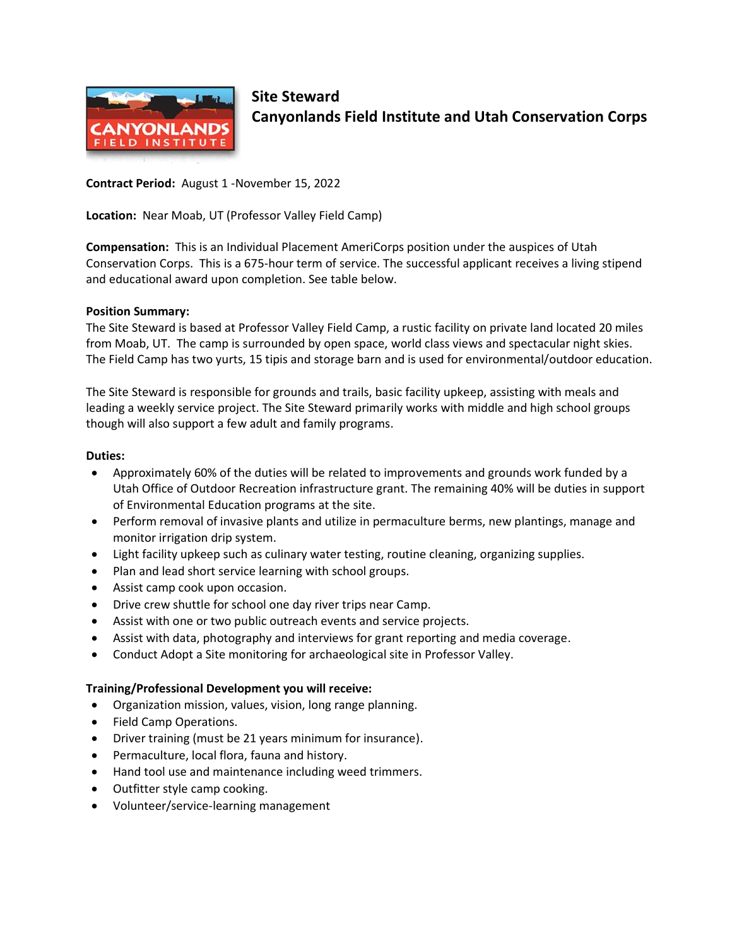

# **Site Steward Canyonlands Field Institute and Utah Conservation Corps**

**Contract Period:** August 1 -November 15, 2022

**Location:** Near Moab, UT (Professor Valley Field Camp)

**Compensation:** This is an Individual Placement AmeriCorps position under the auspices of Utah Conservation Corps. This is a 675-hour term of service. The successful applicant receives a living stipend and educational award upon completion. See table below.

### **Position Summary:**

The Site Steward is based at Professor Valley Field Camp, a rustic facility on private land located 20 miles from Moab, UT. The camp is surrounded by open space, world class views and spectacular night skies. The Field Camp has two yurts, 15 tipis and storage barn and is used for environmental/outdoor education.

The Site Steward is responsible for grounds and trails, basic facility upkeep, assisting with meals and leading a weekly service project. The Site Steward primarily works with middle and high school groups though will also support a few adult and family programs.

## **Duties:**

- Approximately 60% of the duties will be related to improvements and grounds work funded by a Utah Office of Outdoor Recreation infrastructure grant. The remaining 40% will be duties in support of Environmental Education programs at the site.
- Perform removal of invasive plants and utilize in permaculture berms, new plantings, manage and monitor irrigation drip system.
- Light facility upkeep such as culinary water testing, routine cleaning, organizing supplies.
- Plan and lead short service learning with school groups.
- Assist camp cook upon occasion.
- Drive crew shuttle for school one day river trips near Camp.
- Assist with one or two public outreach events and service projects.
- Assist with data, photography and interviews for grant reporting and media coverage.
- Conduct Adopt a Site monitoring for archaeological site in Professor Valley.

### **Training/Professional Development you will receive:**

- Organization mission, values, vision, long range planning.
- Field Camp Operations.
- Driver training (must be 21 years minimum for insurance).
- Permaculture, local flora, fauna and history.
- Hand tool use and maintenance including weed trimmers.
- Outfitter style camp cooking.
- Volunteer/service-learning management